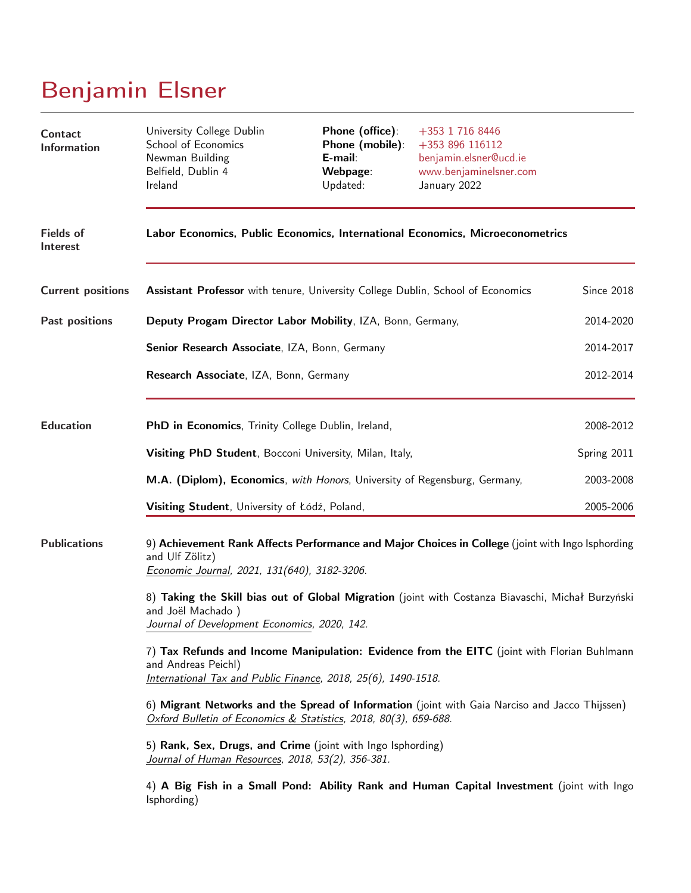# Benjamin Elsner

| Contact<br><b>Information</b> | University College Dublin<br>School of Economics<br>Newman Building<br>Belfield, Dublin 4<br>Ireland                                                                                | Phone (office):<br>Phone (mobile):<br>E-mail:<br>Webpage:<br>Updated: | +353 1 716 8446<br>+353 896 116112<br>benjamin.elsner@ucd.ie<br>www.benjaminelsner.com<br>January 2022 |             |  |  |
|-------------------------------|-------------------------------------------------------------------------------------------------------------------------------------------------------------------------------------|-----------------------------------------------------------------------|--------------------------------------------------------------------------------------------------------|-------------|--|--|
| <b>Fields of</b><br>Interest  | Labor Economics, Public Economics, International Economics, Microeconometrics                                                                                                       |                                                                       |                                                                                                        |             |  |  |
| <b>Current positions</b>      | Assistant Professor with tenure, University College Dublin, School of Economics                                                                                                     |                                                                       |                                                                                                        | Since 2018  |  |  |
| Past positions                | Deputy Progam Director Labor Mobility, IZA, Bonn, Germany,                                                                                                                          |                                                                       | 2014-2020                                                                                              |             |  |  |
|                               | Senior Research Associate, IZA, Bonn, Germany                                                                                                                                       |                                                                       |                                                                                                        | 2014-2017   |  |  |
|                               | Research Associate, IZA, Bonn, Germany                                                                                                                                              |                                                                       |                                                                                                        | 2012-2014   |  |  |
| <b>Education</b>              | PhD in Economics, Trinity College Dublin, Ireland,                                                                                                                                  |                                                                       | 2008-2012                                                                                              |             |  |  |
|                               | Visiting PhD Student, Bocconi University, Milan, Italy,                                                                                                                             |                                                                       |                                                                                                        | Spring 2011 |  |  |
|                               | M.A. (Diplom), Economics, with Honors, University of Regensburg, Germany,                                                                                                           |                                                                       |                                                                                                        | 2003-2008   |  |  |
|                               | Visiting Student, University of Łódź, Poland,                                                                                                                                       |                                                                       |                                                                                                        | 2005-2006   |  |  |
| <b>Publications</b>           | 9) Achievement Rank Affects Performance and Major Choices in College (joint with Ingo Isphording<br>and Ulf Zölitz)<br>Economic Journal, 2021, 131(640), 3182-3206.                 |                                                                       |                                                                                                        |             |  |  |
|                               | 8) Taking the Skill bias out of Global Migration (joint with Costanza Biavaschi, Michał Burzyński<br>and Joël Machado)<br>Journal of Development Economics, 2020, 142.              |                                                                       |                                                                                                        |             |  |  |
|                               | 7) Tax Refunds and Income Manipulation: Evidence from the EITC (joint with Florian Buhlmann<br>and Andreas Peichl)<br>International Tax and Public Finance, 2018, 25(6), 1490-1518. |                                                                       |                                                                                                        |             |  |  |
|                               | 6) Migrant Networks and the Spread of Information (joint with Gaia Narciso and Jacco Thijssen)<br>Oxford Bulletin of Economics & Statistics, 2018, 80(3), 659-688.                  |                                                                       |                                                                                                        |             |  |  |
|                               | 5) Rank, Sex, Drugs, and Crime (joint with Ingo Isphording)<br>Journal of Human Resources, 2018, 53(2), 356-381.                                                                    |                                                                       |                                                                                                        |             |  |  |
|                               | 4) A Big Fish in a Small Pond: Ability Rank and Human Capital Investment (joint with Ingo<br>Isphording)                                                                            |                                                                       |                                                                                                        |             |  |  |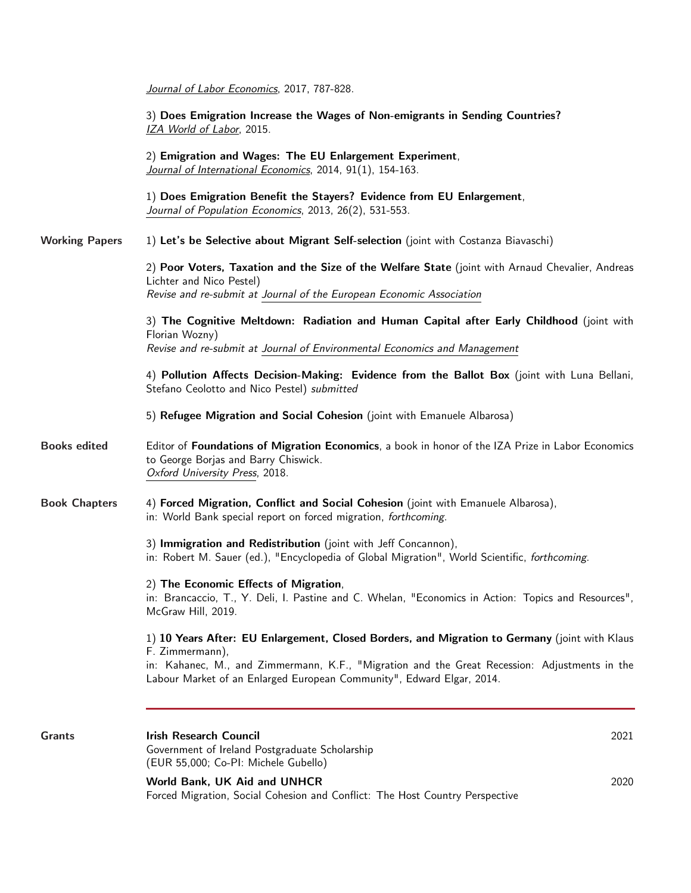|                       | Journal of Labor Economics, 2017, 787-828.                                                                                                                                                                                                                                                 |  |
|-----------------------|--------------------------------------------------------------------------------------------------------------------------------------------------------------------------------------------------------------------------------------------------------------------------------------------|--|
|                       | 3) Does Emigration Increase the Wages of Non-emigrants in Sending Countries?<br>IZA World of Labor, 2015.                                                                                                                                                                                  |  |
|                       | 2) Emigration and Wages: The EU Enlargement Experiment,<br>Journal of International Economics, 2014, 91(1), 154-163.                                                                                                                                                                       |  |
|                       | 1) Does Emigration Benefit the Stayers? Evidence from EU Enlargement,<br>Journal of Population Economics, 2013, 26(2), 531-553.                                                                                                                                                            |  |
| <b>Working Papers</b> | 1) Let's be Selective about Migrant Self-selection (joint with Costanza Biavaschi)                                                                                                                                                                                                         |  |
|                       | 2) Poor Voters, Taxation and the Size of the Welfare State (joint with Arnaud Chevalier, Andreas<br>Lichter and Nico Pestel)<br>Revise and re-submit at Journal of the European Economic Association                                                                                       |  |
|                       | 3) The Cognitive Meltdown: Radiation and Human Capital after Early Childhood (joint with<br>Florian Wozny)<br>Revise and re-submit at Journal of Environmental Economics and Management                                                                                                    |  |
|                       | 4) Pollution Affects Decision-Making: Evidence from the Ballot Box (joint with Luna Bellani,<br>Stefano Ceolotto and Nico Pestel) submitted                                                                                                                                                |  |
|                       | 5) Refugee Migration and Social Cohesion (joint with Emanuele Albarosa)                                                                                                                                                                                                                    |  |
| <b>Books edited</b>   | Editor of Foundations of Migration Economics, a book in honor of the IZA Prize in Labor Economics<br>to George Borjas and Barry Chiswick.<br>Oxford University Press, 2018.                                                                                                                |  |
| <b>Book Chapters</b>  | 4) Forced Migration, Conflict and Social Cohesion (joint with Emanuele Albarosa),<br>in: World Bank special report on forced migration, forthcoming.                                                                                                                                       |  |
|                       | 3) Immigration and Redistribution (joint with Jeff Concannon),<br>in: Robert M. Sauer (ed.), "Encyclopedia of Global Migration", World Scientific, forthcoming.                                                                                                                            |  |
|                       | 2) The Economic Effects of Migration<br>in: Brancaccio, T., Y. Deli, I. Pastine and C. Whelan, "Economics in Action: Topics and Resources",<br>McGraw Hill, 2019.                                                                                                                          |  |
|                       | 1) 10 Years After: EU Enlargement, Closed Borders, and Migration to Germany (joint with Klaus<br>F. Zimmermann),<br>in: Kahanec, M., and Zimmermann, K.F., "Migration and the Great Recession: Adjustments in the<br>Labour Market of an Enlarged European Community", Edward Elgar, 2014. |  |
| <b>Grants</b>         | <b>Irish Research Council</b><br>2021                                                                                                                                                                                                                                                      |  |
|                       | Government of Ireland Postgraduate Scholarship<br>(EUR 55,000; Co-PI: Michele Gubello)                                                                                                                                                                                                     |  |
|                       | World Bank, UK Aid and UNHCR<br>2020<br>Forced Migration, Social Cohesion and Conflict: The Host Country Perspective                                                                                                                                                                       |  |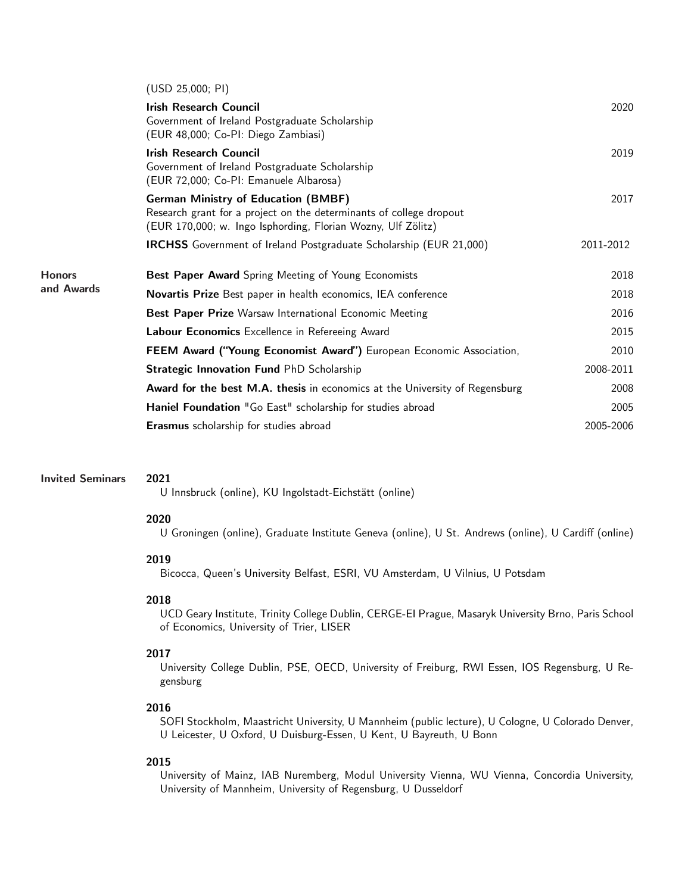|                             | (USD 25,000; PI)                                                                                                                                                                  |           |
|-----------------------------|-----------------------------------------------------------------------------------------------------------------------------------------------------------------------------------|-----------|
|                             | <b>Irish Research Council</b><br>Government of Ireland Postgraduate Scholarship<br>(EUR 48,000; Co-PI: Diego Zambiasi)                                                            | 2020      |
|                             | <b>Irish Research Council</b><br>Government of Ireland Postgraduate Scholarship<br>(EUR 72,000; Co-PI: Emanuele Albarosa)                                                         | 2019      |
|                             | <b>German Ministry of Education (BMBF)</b><br>Research grant for a project on the determinants of college dropout<br>(EUR 170,000; w. Ingo Isphording, Florian Wozny, Ulf Zölitz) | 2017      |
|                             | <b>IRCHSS</b> Government of Ireland Postgraduate Scholarship (EUR 21,000)                                                                                                         | 2011-2012 |
| <b>Honors</b><br>and Awards | Best Paper Award Spring Meeting of Young Economists                                                                                                                               | 2018      |
|                             | Novartis Prize Best paper in health economics, IEA conference                                                                                                                     | 2018      |
|                             | Best Paper Prize Warsaw International Economic Meeting                                                                                                                            | 2016      |
|                             | Labour Economics Excellence in Refereeing Award                                                                                                                                   | 2015      |
|                             | FEEM Award ("Young Economist Award") European Economic Association,                                                                                                               | 2010      |
|                             | <b>Strategic Innovation Fund PhD Scholarship</b>                                                                                                                                  | 2008-2011 |
|                             | <b>Award for the best M.A. thesis</b> in economics at the University of Regensburg                                                                                                | 2008      |
|                             | Haniel Foundation "Go East" scholarship for studies abroad                                                                                                                        | 2005      |
|                             | Erasmus scholarship for studies abroad                                                                                                                                            | 2005-2006 |
|                             |                                                                                                                                                                                   |           |

### Invited Seminars 2021

U Innsbruck (online), KU Ingolstadt-Eichstätt (online)

#### 2020

U Groningen (online), Graduate Institute Geneva (online), U St. Andrews (online), U Cardiff (online)

#### 2019

Bicocca, Queen's University Belfast, ESRI, VU Amsterdam, U Vilnius, U Potsdam

## 2018

UCD Geary Institute, Trinity College Dublin, CERGE-EI Prague, Masaryk University Brno, Paris School of Economics, University of Trier, LISER

# 2017

University College Dublin, PSE, OECD, University of Freiburg, RWI Essen, IOS Regensburg, U Regensburg

#### 2016

SOFI Stockholm, Maastricht University, U Mannheim (public lecture), U Cologne, U Colorado Denver, U Leicester, U Oxford, U Duisburg-Essen, U Kent, U Bayreuth, U Bonn

### 2015

University of Mainz, IAB Nuremberg, Modul University Vienna, WU Vienna, Concordia University, University of Mannheim, University of Regensburg, U Dusseldorf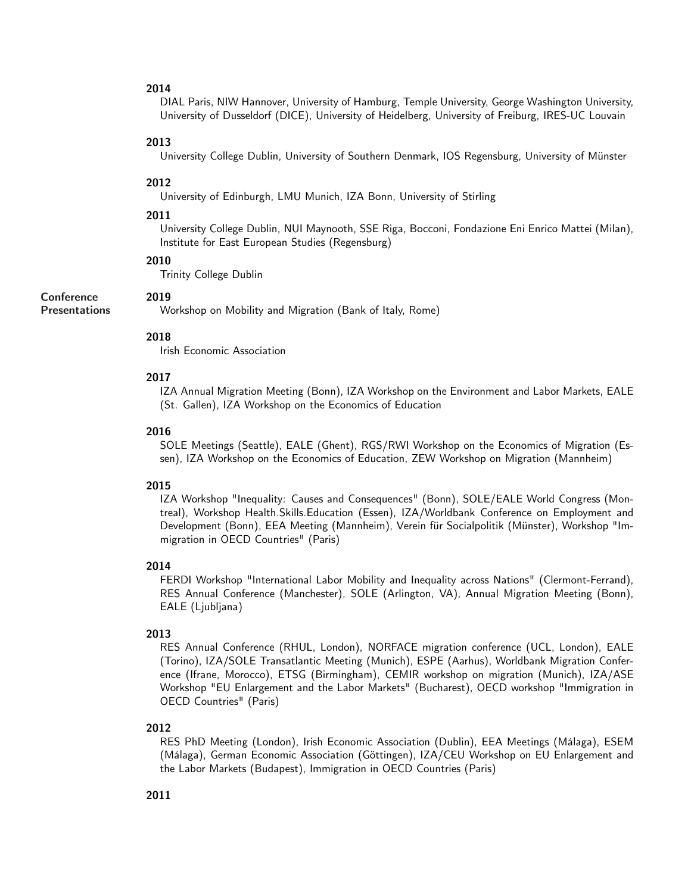# 2014

DIAL Paris, NIW Hannover, University of Hamburg, Temple University, George Washington University, University of Dusseldorf (DICE), University of Heidelberg, University of Freiburg, IRES-UC Louvain

## 2013

University College Dublin, University of Southern Denmark, IOS Regensburg, University of Münster

#### 2012

University of Edinburgh, LMU Munich, IZA Bonn, University of Stirling

#### 2011

University College Dublin, NUI Maynooth, SSE Riga, Bocconi, Fondazione Eni Enrico Mattei (Milan), Institute for East European Studies (Regensburg)

# 2010

2019

Trinity College Dublin

#### **Conference**

Presentations

Workshop on Mobility and Migration (Bank of Italy, Rome)

# 2018

Irish Economic Association

# 2017

IZA Annual Migration Meeting (Bonn), IZA Workshop on the Environment and Labor Markets, EALE (St. Gallen), IZA Workshop on the Economics of Education

#### 2016

SOLE Meetings (Seattle), EALE (Ghent), RGS/RWI Workshop on the Economics of Migration (Essen), IZA Workshop on the Economics of Education, ZEW Workshop on Migration (Mannheim)

#### 2015

IZA Workshop "Inequality: Causes and Consequences" (Bonn), SOLE/EALE World Congress (Montreal), Workshop Health.Skills.Education (Essen), IZA/Worldbank Conference on Employment and Development (Bonn), EEA Meeting (Mannheim), Verein für Socialpolitik (Münster), Workshop "Immigration in OECD Countries" (Paris)

#### 2014

FERDI Workshop "International Labor Mobility and Inequality across Nations" (Clermont-Ferrand), RES Annual Conference (Manchester), SOLE (Arlington, VA), Annual Migration Meeting (Bonn), EALE (Ljubljana)

#### 2013

RES Annual Conference (RHUL, London), NORFACE migration conference (UCL, London), EALE (Torino), IZA/SOLE Transatlantic Meeting (Munich), ESPE (Aarhus), Worldbank Migration Conference (Ifrane, Morocco), ETSG (Birmingham), CEMIR workshop on migration (Munich), IZA/ASE Workshop "EU Enlargement and the Labor Markets" (Bucharest), OECD workshop "Immigration in OECD Countries" (Paris)

#### 2012

RES PhD Meeting (London), Irish Economic Association (Dublin), EEA Meetings (Málaga), ESEM (Málaga), German Economic Association (Göttingen), IZA/CEU Workshop on EU Enlargement and the Labor Markets (Budapest), Immigration in OECD Countries (Paris)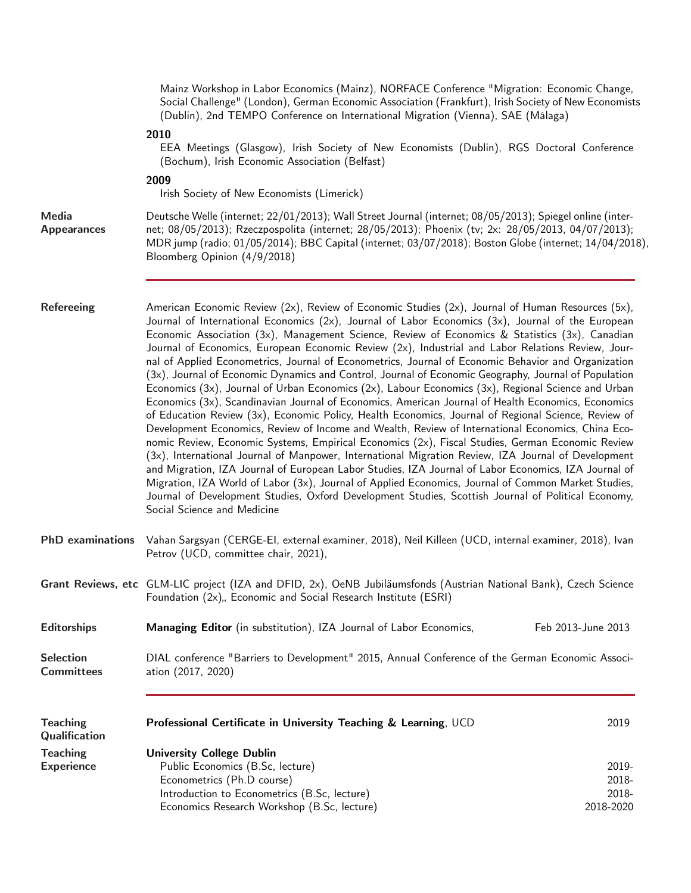|                                       | Mainz Workshop in Labor Economics (Mainz), NORFACE Conference "Migration: Economic Change,<br>Social Challenge" (London), German Economic Association (Frankfurt), Irish Society of New Economists<br>(Dublin), 2nd TEMPO Conference on International Migration (Vienna), SAE (Málaga)                                                                                                                                                                                                                                                                                                                                                                                                                                                                                                                                                                                                                                                                                                                                                                                                                                                                                                                                                                                                                                                                                                                                                                                                                                                                                                                             |                                      |  |  |
|---------------------------------------|--------------------------------------------------------------------------------------------------------------------------------------------------------------------------------------------------------------------------------------------------------------------------------------------------------------------------------------------------------------------------------------------------------------------------------------------------------------------------------------------------------------------------------------------------------------------------------------------------------------------------------------------------------------------------------------------------------------------------------------------------------------------------------------------------------------------------------------------------------------------------------------------------------------------------------------------------------------------------------------------------------------------------------------------------------------------------------------------------------------------------------------------------------------------------------------------------------------------------------------------------------------------------------------------------------------------------------------------------------------------------------------------------------------------------------------------------------------------------------------------------------------------------------------------------------------------------------------------------------------------|--------------------------------------|--|--|
|                                       | 2010<br>EEA Meetings (Glasgow), Irish Society of New Economists (Dublin), RGS Doctoral Conference<br>(Bochum), Irish Economic Association (Belfast)                                                                                                                                                                                                                                                                                                                                                                                                                                                                                                                                                                                                                                                                                                                                                                                                                                                                                                                                                                                                                                                                                                                                                                                                                                                                                                                                                                                                                                                                |                                      |  |  |
|                                       | 2009<br>Irish Society of New Economists (Limerick)                                                                                                                                                                                                                                                                                                                                                                                                                                                                                                                                                                                                                                                                                                                                                                                                                                                                                                                                                                                                                                                                                                                                                                                                                                                                                                                                                                                                                                                                                                                                                                 |                                      |  |  |
| <b>Media</b><br><b>Appearances</b>    | Deutsche Welle (internet; 22/01/2013); Wall Street Journal (internet; 08/05/2013); Spiegel online (inter-<br>net; 08/05/2013); Rzeczpospolita (internet; 28/05/2013); Phoenix (tv; 2x: 28/05/2013, 04/07/2013);<br>MDR jump (radio; 01/05/2014); BBC Capital (internet; 03/07/2018); Boston Globe (internet; 14/04/2018),<br>Bloomberg Opinion (4/9/2018)                                                                                                                                                                                                                                                                                                                                                                                                                                                                                                                                                                                                                                                                                                                                                                                                                                                                                                                                                                                                                                                                                                                                                                                                                                                          |                                      |  |  |
| <b>Refereeing</b>                     | American Economic Review (2x), Review of Economic Studies (2x), Journal of Human Resources (5x),<br>Journal of International Economics (2x), Journal of Labor Economics (3x), Journal of the European<br>Economic Association (3x), Management Science, Review of Economics & Statistics (3x), Canadian<br>Journal of Economics, European Economic Review (2x), Industrial and Labor Relations Review, Jour-<br>nal of Applied Econometrics, Journal of Econometrics, Journal of Economic Behavior and Organization<br>(3x), Journal of Economic Dynamics and Control, Journal of Economic Geography, Journal of Population<br>Economics (3x), Journal of Urban Economics (2x), Labour Economics (3x), Regional Science and Urban<br>Economics (3x), Scandinavian Journal of Economics, American Journal of Health Economics, Economics<br>of Education Review (3x), Economic Policy, Health Economics, Journal of Regional Science, Review of<br>Development Economics, Review of Income and Wealth, Review of International Economics, China Eco-<br>nomic Review, Economic Systems, Empirical Economics (2x), Fiscal Studies, German Economic Review<br>(3x), International Journal of Manpower, International Migration Review, IZA Journal of Development<br>and Migration, IZA Journal of European Labor Studies, IZA Journal of Labor Economics, IZA Journal of<br>Migration, IZA World of Labor (3x), Journal of Applied Economics, Journal of Common Market Studies,<br>Journal of Development Studies, Oxford Development Studies, Scottish Journal of Political Economy,<br>Social Science and Medicine |                                      |  |  |
| <b>PhD</b> examinations               | Vahan Sargsyan (CERGE-EI, external examiner, 2018), Neil Killeen (UCD, internal examiner, 2018), Ivan<br>Petrov (UCD, committee chair, 2021),                                                                                                                                                                                                                                                                                                                                                                                                                                                                                                                                                                                                                                                                                                                                                                                                                                                                                                                                                                                                                                                                                                                                                                                                                                                                                                                                                                                                                                                                      |                                      |  |  |
|                                       | Grant Reviews, etc GLM-LIC project (IZA and DFID, 2x), OeNB Jubiläumsfonds (Austrian National Bank), Czech Science<br>Foundation (2x),, Economic and Social Research Institute (ESRI)                                                                                                                                                                                                                                                                                                                                                                                                                                                                                                                                                                                                                                                                                                                                                                                                                                                                                                                                                                                                                                                                                                                                                                                                                                                                                                                                                                                                                              |                                      |  |  |
| <b>Editorships</b>                    | Managing Editor (in substitution), IZA Journal of Labor Economics,                                                                                                                                                                                                                                                                                                                                                                                                                                                                                                                                                                                                                                                                                                                                                                                                                                                                                                                                                                                                                                                                                                                                                                                                                                                                                                                                                                                                                                                                                                                                                 | Feb 2013-June 2013                   |  |  |
| <b>Selection</b><br><b>Committees</b> | DIAL conference "Barriers to Development" 2015, Annual Conference of the German Economic Associ-<br>ation (2017, 2020)                                                                                                                                                                                                                                                                                                                                                                                                                                                                                                                                                                                                                                                                                                                                                                                                                                                                                                                                                                                                                                                                                                                                                                                                                                                                                                                                                                                                                                                                                             |                                      |  |  |
| <b>Teaching</b><br>Qualification      | Professional Certificate in University Teaching & Learning, UCD                                                                                                                                                                                                                                                                                                                                                                                                                                                                                                                                                                                                                                                                                                                                                                                                                                                                                                                                                                                                                                                                                                                                                                                                                                                                                                                                                                                                                                                                                                                                                    | 2019                                 |  |  |
| <b>Teaching</b><br><b>Experience</b>  | <b>University College Dublin</b><br>Public Economics (B.Sc, lecture)<br>Econometrics (Ph.D course)<br>Introduction to Econometrics (B.Sc, lecture)<br>Economics Research Workshop (B.Sc, lecture)                                                                                                                                                                                                                                                                                                                                                                                                                                                                                                                                                                                                                                                                                                                                                                                                                                                                                                                                                                                                                                                                                                                                                                                                                                                                                                                                                                                                                  | 2019-<br>2018-<br>2018-<br>2018-2020 |  |  |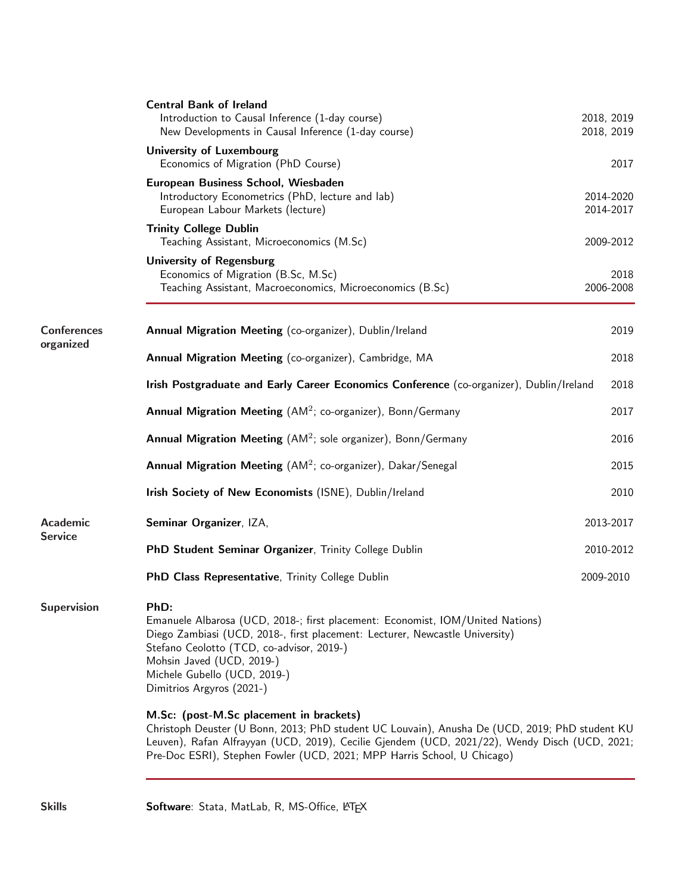| <b>Central Bank of Ireland</b><br>Introduction to Causal Inference (1-day course)<br>New Developments in Causal Inference (1-day course)                                                                                                                                                                                                                                                                                            |           | 2018, 2019<br>2018, 2019                                                                                                                                                                                                                                                                   |
|-------------------------------------------------------------------------------------------------------------------------------------------------------------------------------------------------------------------------------------------------------------------------------------------------------------------------------------------------------------------------------------------------------------------------------------|-----------|--------------------------------------------------------------------------------------------------------------------------------------------------------------------------------------------------------------------------------------------------------------------------------------------|
| <b>University of Luxembourg</b><br>Economics of Migration (PhD Course)                                                                                                                                                                                                                                                                                                                                                              |           | 2017                                                                                                                                                                                                                                                                                       |
| European Business School, Wiesbaden<br>Introductory Econometrics (PhD, lecture and lab)<br>European Labour Markets (lecture)                                                                                                                                                                                                                                                                                                        |           | 2014-2020<br>2014-2017                                                                                                                                                                                                                                                                     |
| <b>Trinity College Dublin</b><br>Teaching Assistant, Microeconomics (M.Sc)                                                                                                                                                                                                                                                                                                                                                          |           | 2009-2012                                                                                                                                                                                                                                                                                  |
| <b>University of Regensburg</b><br>Economics of Migration (B.Sc, M.Sc)<br>Teaching Assistant, Macroeconomics, Microeconomics (B.Sc)                                                                                                                                                                                                                                                                                                 |           | 2018<br>2006-2008                                                                                                                                                                                                                                                                          |
| Annual Migration Meeting (co-organizer), Dublin/Ireland                                                                                                                                                                                                                                                                                                                                                                             |           | 2019                                                                                                                                                                                                                                                                                       |
| Annual Migration Meeting (co-organizer), Cambridge, MA                                                                                                                                                                                                                                                                                                                                                                              |           | 2018                                                                                                                                                                                                                                                                                       |
|                                                                                                                                                                                                                                                                                                                                                                                                                                     |           | 2018                                                                                                                                                                                                                                                                                       |
| <b>Annual Migration Meeting</b> (AM <sup>2</sup> ; co-organizer), Bonn/Germany                                                                                                                                                                                                                                                                                                                                                      |           | 2017                                                                                                                                                                                                                                                                                       |
| <b>Annual Migration Meeting</b> ( $AM^2$ ; sole organizer), Bonn/Germany                                                                                                                                                                                                                                                                                                                                                            |           | 2016                                                                                                                                                                                                                                                                                       |
| Annual Migration Meeting (AM <sup>2</sup> ; co-organizer), Dakar/Senegal                                                                                                                                                                                                                                                                                                                                                            |           | 2015                                                                                                                                                                                                                                                                                       |
| Irish Society of New Economists (ISNE), Dublin/Ireland                                                                                                                                                                                                                                                                                                                                                                              |           | 2010                                                                                                                                                                                                                                                                                       |
| Seminar Organizer, IZA,                                                                                                                                                                                                                                                                                                                                                                                                             |           | 2013-2017                                                                                                                                                                                                                                                                                  |
| PhD Student Seminar Organizer, Trinity College Dublin                                                                                                                                                                                                                                                                                                                                                                               |           | 2010-2012                                                                                                                                                                                                                                                                                  |
| PhD Class Representative, Trinity College Dublin                                                                                                                                                                                                                                                                                                                                                                                    | 2009-2010 |                                                                                                                                                                                                                                                                                            |
| PhD:<br>Emanuele Albarosa (UCD, 2018-; first placement: Economist, IOM/United Nations)<br>Diego Zambiasi (UCD, 2018-, first placement: Lecturer, Newcastle University)<br>Stefano Ceolotto (TCD, co-advisor, 2019-)<br>Mohsin Javed (UCD, 2019-)<br>Michele Gubello (UCD, 2019-)<br>Dimitrios Argyros (2021-)<br>M.Sc: (post-M.Sc placement in brackets)<br>Pre-Doc ESRI), Stephen Fowler (UCD, 2021; MPP Harris School, U Chicago) |           |                                                                                                                                                                                                                                                                                            |
|                                                                                                                                                                                                                                                                                                                                                                                                                                     |           | Irish Postgraduate and Early Career Economics Conference (co-organizer), Dublin/Ireland<br>Christoph Deuster (U Bonn, 2013; PhD student UC Louvain), Anusha De (UCD, 2019; PhD student KU<br>Leuven), Rafan Alfrayyan (UCD, 2019), Cecilie Gjendem (UCD, 2021/22), Wendy Disch (UCD, 2021; |